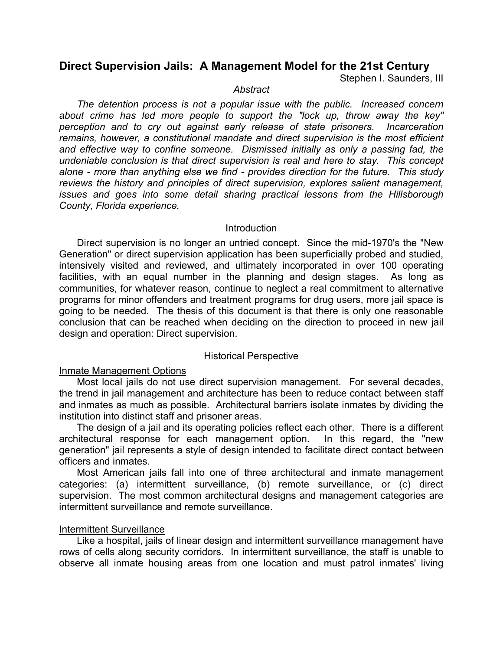# **Direct Supervision Jails: A Management Model for the 21st Century**

Stephen I. Saunders, III

#### *Abstract*

*The detention process is not a popular issue with the public. Increased concern about crime has led more people to support the "lock up, throw away the key" perception and to cry out against early release of state prisoners. Incarceration remains, however, a constitutional mandate and direct supervision is the most efficient and effective way to confine someone. Dismissed initially as only a passing fad, the undeniable conclusion is that direct supervision is real and here to stay. This concept alone - more than anything else we find - provides direction for the future. This study reviews the history and principles of direct supervision, explores salient management, issues and goes into some detail sharing practical lessons from the Hillsborough County, Florida experience.*

## **Introduction**

Direct supervision is no longer an untried concept. Since the mid-1970's the "New Generation" or direct supervision application has been superficially probed and studied, intensively visited and reviewed, and ultimately incorporated in over 100 operating facilities, with an equal number in the planning and design stages. As long as communities, for whatever reason, continue to neglect a real commitment to alternative programs for minor offenders and treatment programs for drug users, more jail space is going to be needed. The thesis of this document is that there is only one reasonable conclusion that can be reached when deciding on the direction to proceed in new jail design and operation: Direct supervision.

## Historical Perspective

## Inmate Management Options

Most local jails do not use direct supervision management. For several decades, the trend in jail management and architecture has been to reduce contact between staff and inmates as much as possible. Architectural barriers isolate inmates by dividing the institution into distinct staff and prisoner areas.

The design of a jail and its operating policies reflect each other. There is a different architectural response for each management option. In this regard, the "new generation" jail represents a style of design intended to facilitate direct contact between officers and inmates.

Most American jails fall into one of three architectural and inmate management categories: (a) intermittent surveillance, (b) remote surveillance, or (c) direct supervision. The most common architectural designs and management categories are intermittent surveillance and remote surveillance.

## Intermittent Surveillance

Like a hospital, jails of linear design and intermittent surveillance management have rows of cells along security corridors. In intermittent surveillance, the staff is unable to observe all inmate housing areas from one location and must patrol inmates' living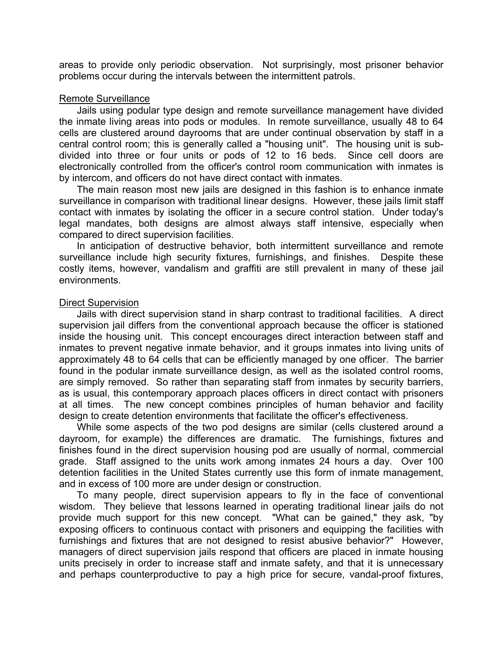areas to provide only periodic observation. Not surprisingly, most prisoner behavior problems occur during the intervals between the intermittent patrols.

#### Remote Surveillance

Jails using podular type design and remote surveillance management have divided the inmate living areas into pods or modules. In remote surveillance, usually 48 to 64 cells are clustered around dayrooms that are under continual observation by staff in a central control room; this is generally called a "housing unit". The housing unit is subdivided into three or four units or pods of 12 to 16 beds. Since cell doors are electronically controlled from the officer's control room communication with inmates is by intercom, and officers do not have direct contact with inmates.

The main reason most new jails are designed in this fashion is to enhance inmate surveillance in comparison with traditional linear designs. However, these jails limit staff contact with inmates by isolating the officer in a secure control station. Under today's legal mandates, both designs are almost always staff intensive, especially when compared to direct supervision facilities.

In anticipation of destructive behavior, both intermittent surveillance and remote surveillance include high security fixtures, furnishings, and finishes. Despite these costly items, however, vandalism and graffiti are still prevalent in many of these jail environments.

#### Direct Supervision

Jails with direct supervision stand in sharp contrast to traditional facilities. A direct supervision jail differs from the conventional approach because the officer is stationed inside the housing unit. This concept encourages direct interaction between staff and inmates to prevent negative inmate behavior, and it groups inmates into living units of approximately 48 to 64 cells that can be efficiently managed by one officer. The barrier found in the podular inmate surveillance design, as well as the isolated control rooms, are simply removed. So rather than separating staff from inmates by security barriers, as is usual, this contemporary approach places officers in direct contact with prisoners at all times. The new concept combines principles of human behavior and facility design to create detention environments that facilitate the officer's effectiveness.

While some aspects of the two pod designs are similar (cells clustered around a dayroom, for example) the differences are dramatic. The furnishings, fixtures and finishes found in the direct supervision housing pod are usually of normal, commercial grade. Staff assigned to the units work among inmates 24 hours a day. Over 100 detention facilities in the United States currently use this form of inmate management, and in excess of 100 more are under design or construction.

To many people, direct supervision appears to fly in the face of conventional wisdom. They believe that lessons learned in operating traditional linear jails do not provide much support for this new concept. "What can be gained," they ask, "by exposing officers to continuous contact with prisoners and equipping the facilities with furnishings and fixtures that are not designed to resist abusive behavior?" However, managers of direct supervision jails respond that officers are placed in inmate housing units precisely in order to increase staff and inmate safety, and that it is unnecessary and perhaps counterproductive to pay a high price for secure, vandal-proof fixtures,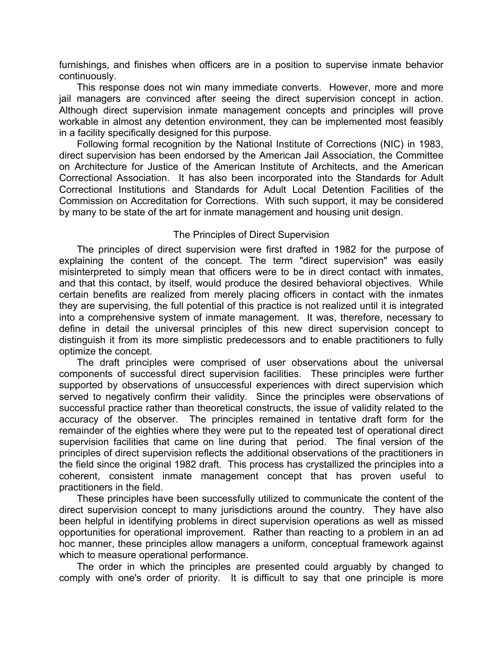furnishings, and finishes when officers are in a position to supervise inmate behavior continuously.

This response does not win many immediate converts. However, more and more jail managers are convinced after seeing the direct supervision concept in action. Although direct supervision inmate management concepts and principles will prove workable in almost any detention environment, they can be implemented most feasibly in a facility specifically designed for this purpose.

Following formal recognition by the National Institute of Corrections (NIC) in 1983, direct supervision has been endorsed by the American Jail Association, the Committee on Architecture for Justice of the American Institute of Architects, and the American Correctional Association. It has also been incorporated into the Standards for Adult Correctional Institutions and Standards for Adult Local Detention Facilities of the Commission on Accreditation for Corrections. With such support, it may be considered by many to be state of the art for inmate management and housing unit design.

## The Principles of Direct Supervision

The principles of direct supervision were first drafted in 1982 for the purpose of explaining the content of the concept. The term "direct supervision" was easily misinterpreted to simply mean that officers were to be in direct contact with inmates, and that this contact, by itself, would produce the desired behavioral objectives. While certain benefits are realized from merely placing officers in contact with the inmates they are supervising, the full potential of this practice is not realized until it is integrated into a comprehensive system of inmate management. It was, therefore, necessary to define in detail the universal principles of this new direct supervision concept to distinguish it from its more simplistic predecessors and to enable practitioners to fully optimize the concept.

The draft principles were comprised of user observations about the universal components of successful direct supervision facilities. These principles were further supported by observations of unsuccessful experiences with direct supervision which served to negatively confirm their validity. Since the principles were observations of successful practice rather than theoretical constructs, the issue of validity related to the accuracy of the observer. The principles remained in tentative draft form for the remainder of the eighties where they were put to the repeated test of operational direct supervision facilities that came on line during that period. The final version of the principles of direct supervision reflects the additional observations of the practitioners in the field since the original 1982 draft. This process has crystallized the principles into a coherent, consistent inmate management concept that has proven useful to practitioners in the field.

These principles have been successfully utilized to communicate the content of the direct supervision concept to many jurisdictions around the country. They have also been helpful in identifying problems in direct supervision operations as well as missed opportunities for operational improvement. Rather than reacting to a problem in an ad hoc manner, these principles allow managers a uniform, conceptual framework against which to measure operational performance.

The order in which the principles are presented could arguably by changed to comply with one's order of priority. It is difficult to say that one principle is more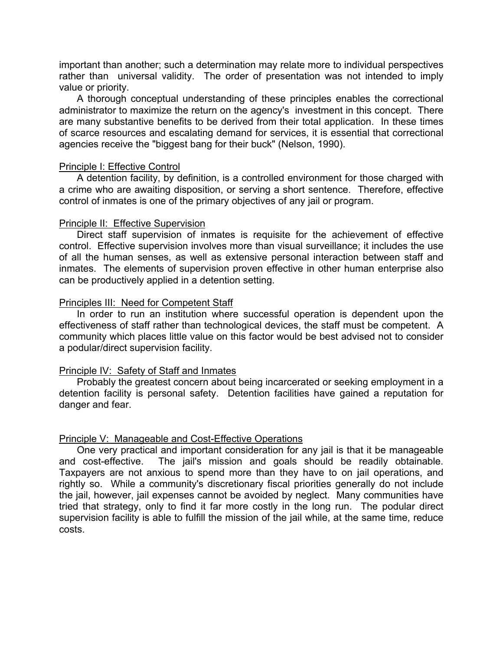important than another; such a determination may relate more to individual perspectives rather than universal validity. The order of presentation was not intended to imply value or priority.

A thorough conceptual understanding of these principles enables the correctional administrator to maximize the return on the agency's investment in this concept. There are many substantive benefits to be derived from their total application. In these times of scarce resources and escalating demand for services, it is essential that correctional agencies receive the "biggest bang for their buck" (Nelson, 1990).

#### Principle I: Effective Control

A detention facility, by definition, is a controlled environment for those charged with a crime who are awaiting disposition, or serving a short sentence. Therefore, effective control of inmates is one of the primary objectives of any jail or program.

#### Principle II: Effective Supervision

Direct staff supervision of inmates is requisite for the achievement of effective control. Effective supervision involves more than visual surveillance; it includes the use of all the human senses, as well as extensive personal interaction between staff and inmates. The elements of supervision proven effective in other human enterprise also can be productively applied in a detention setting.

## Principles III: Need for Competent Staff

In order to run an institution where successful operation is dependent upon the effectiveness of staff rather than technological devices, the staff must be competent. A community which places little value on this factor would be best advised not to consider a podular/direct supervision facility.

## Principle IV: Safety of Staff and Inmates

Probably the greatest concern about being incarcerated or seeking employment in a detention facility is personal safety. Detention facilities have gained a reputation for danger and fear.

## Principle V: Manageable and Cost-Effective Operations

One very practical and important consideration for any jail is that it be manageable and cost-effective. The jail's mission and goals should be readily obtainable. Taxpayers are not anxious to spend more than they have to on jail operations, and rightly so. While a community's discretionary fiscal priorities generally do not include the jail, however, jail expenses cannot be avoided by neglect. Many communities have tried that strategy, only to find it far more costly in the long run. The podular direct supervision facility is able to fulfill the mission of the jail while, at the same time, reduce costs.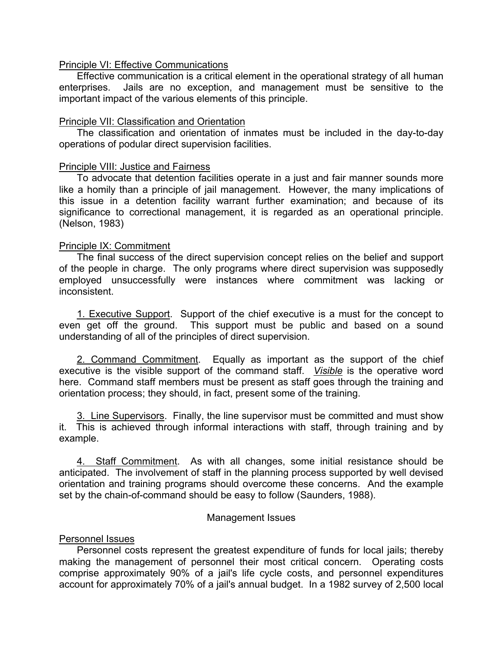## Principle VI: Effective Communications

Effective communication is a critical element in the operational strategy of all human enterprises. Jails are no exception, and management must be sensitive to the important impact of the various elements of this principle.

## Principle VII: Classification and Orientation

The classification and orientation of inmates must be included in the day-to-day operations of podular direct supervision facilities.

## Principle VIII: Justice and Fairness

To advocate that detention facilities operate in a just and fair manner sounds more like a homily than a principle of jail management. However, the many implications of this issue in a detention facility warrant further examination; and because of its significance to correctional management, it is regarded as an operational principle. (Nelson, 1983)

## Principle IX: Commitment

The final success of the direct supervision concept relies on the belief and support of the people in charge. The only programs where direct supervision was supposedly employed unsuccessfully were instances where commitment was lacking or inconsistent.

1. Executive Support. Support of the chief executive is a must for the concept to even get off the ground. This support must be public and based on a sound understanding of all of the principles of direct supervision.

2. Command Commitment. Equally as important as the support of the chief executive is the visible support of the command staff. *Visible* is the operative word here. Command staff members must be present as staff goes through the training and orientation process; they should, in fact, present some of the training.

3. Line Supervisors. Finally, the line supervisor must be committed and must show it. This is achieved through informal interactions with staff, through training and by example.

4. Staff Commitment. As with all changes, some initial resistance should be anticipated. The involvement of staff in the planning process supported by well devised orientation and training programs should overcome these concerns. And the example set by the chain-of-command should be easy to follow (Saunders, 1988).

## Management Issues

## Personnel Issues

Personnel costs represent the greatest expenditure of funds for local jails; thereby making the management of personnel their most critical concern. Operating costs comprise approximately 90% of a jail's life cycle costs, and personnel expenditures account for approximately 70% of a jail's annual budget. In a 1982 survey of 2,500 local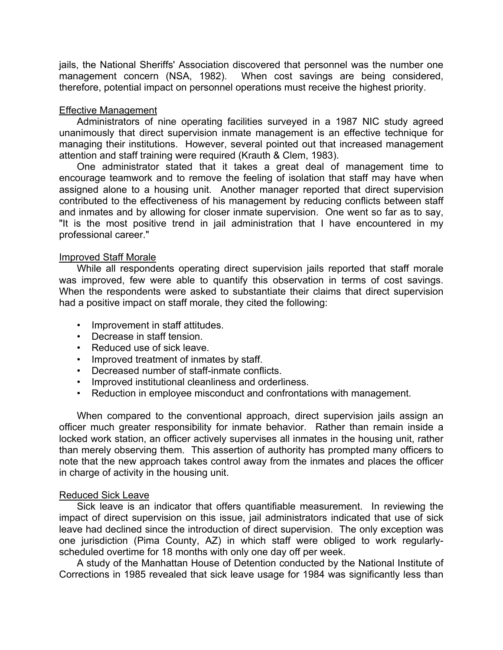jails, the National Sheriffs' Association discovered that personnel was the number one management concern (NSA, 1982). When cost savings are being considered, therefore, potential impact on personnel operations must receive the highest priority.

## Effective Management

Administrators of nine operating facilities surveyed in a 1987 NIC study agreed unanimously that direct supervision inmate management is an effective technique for managing their institutions. However, several pointed out that increased management attention and staff training were required (Krauth & Clem, 1983).

One administrator stated that it takes a great deal of management time to encourage teamwork and to remove the feeling of isolation that staff may have when assigned alone to a housing unit. Another manager reported that direct supervision contributed to the effectiveness of his management by reducing conflicts between staff and inmates and by allowing for closer inmate supervision. One went so far as to say, "It is the most positive trend in jail administration that I have encountered in my professional career."

## Improved Staff Morale

While all respondents operating direct supervision jails reported that staff morale was improved, few were able to quantify this observation in terms of cost savings. When the respondents were asked to substantiate their claims that direct supervision had a positive impact on staff morale, they cited the following:

- Improvement in staff attitudes.
- Decrease in staff tension.
- Reduced use of sick leave.
- Improved treatment of inmates by staff.
- Decreased number of staff-inmate conflicts.
- Improved institutional cleanliness and orderliness.
- Reduction in employee misconduct and confrontations with management.

When compared to the conventional approach, direct supervision jails assign an officer much greater responsibility for inmate behavior. Rather than remain inside a locked work station, an officer actively supervises all inmates in the housing unit, rather than merely observing them. This assertion of authority has prompted many officers to note that the new approach takes control away from the inmates and places the officer in charge of activity in the housing unit.

## Reduced Sick Leave

Sick leave is an indicator that offers quantifiable measurement. In reviewing the impact of direct supervision on this issue, jail administrators indicated that use of sick leave had declined since the introduction of direct supervision. The only exception was one jurisdiction (Pima County, AZ) in which staff were obliged to work regularlyscheduled overtime for 18 months with only one day off per week.

A study of the Manhattan House of Detention conducted by the National Institute of Corrections in 1985 revealed that sick leave usage for 1984 was significantly less than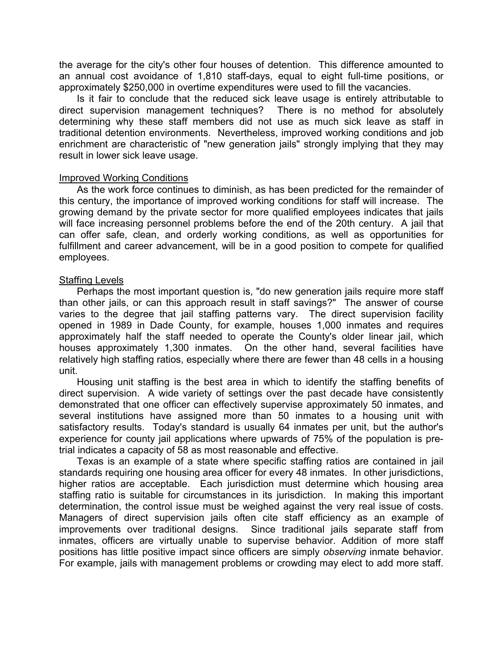the average for the city's other four houses of detention. This difference amounted to an annual cost avoidance of 1,810 staff-days, equal to eight full-time positions, or approximately \$250,000 in overtime expenditures were used to fill the vacancies.

Is it fair to conclude that the reduced sick leave usage is entirely attributable to direct supervision management techniques? There is no method for absolutely determining why these staff members did not use as much sick leave as staff in traditional detention environments. Nevertheless, improved working conditions and job enrichment are characteristic of "new generation jails" strongly implying that they may result in lower sick leave usage.

## Improved Working Conditions

As the work force continues to diminish, as has been predicted for the remainder of this century, the importance of improved working conditions for staff will increase. The growing demand by the private sector for more qualified employees indicates that jails will face increasing personnel problems before the end of the 20th century. A jail that can offer safe, clean, and orderly working conditions, as well as opportunities for fulfillment and career advancement, will be in a good position to compete for qualified employees.

## Staffing Levels

Perhaps the most important question is, "do new generation jails require more staff than other jails, or can this approach result in staff savings?" The answer of course varies to the degree that jail staffing patterns vary. The direct supervision facility opened in 1989 in Dade County, for example, houses 1,000 inmates and requires approximately half the staff needed to operate the County's older linear jail, which houses approximately 1,300 inmates. On the other hand, several facilities have relatively high staffing ratios, especially where there are fewer than 48 cells in a housing unit.

Housing unit staffing is the best area in which to identify the staffing benefits of direct supervision. A wide variety of settings over the past decade have consistently demonstrated that one officer can effectively supervise approximately 50 inmates, and several institutions have assigned more than 50 inmates to a housing unit with satisfactory results. Today's standard is usually 64 inmates per unit, but the author's experience for county jail applications where upwards of 75% of the population is pretrial indicates a capacity of 58 as most reasonable and effective.

Texas is an example of a state where specific staffing ratios are contained in jail standards requiring one housing area officer for every 48 inmates. In other jurisdictions, higher ratios are acceptable. Each jurisdiction must determine which housing area staffing ratio is suitable for circumstances in its jurisdiction. In making this important determination, the control issue must be weighed against the very real issue of costs. Managers of direct supervision jails often cite staff efficiency as an example of improvements over traditional designs. Since traditional jails separate staff from inmates, officers are virtually unable to supervise behavior. Addition of more staff positions has little positive impact since officers are simply *observing* inmate behavior. For example, jails with management problems or crowding may elect to add more staff.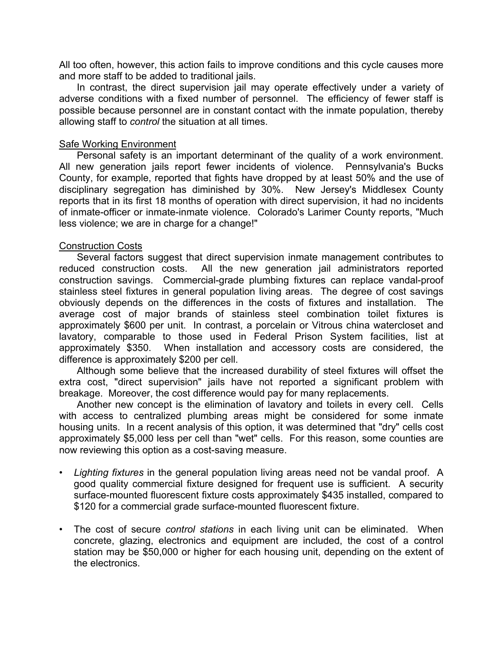All too often, however, this action fails to improve conditions and this cycle causes more and more staff to be added to traditional jails.

In contrast, the direct supervision jail may operate effectively under a variety of adverse conditions with a fixed number of personnel. The efficiency of fewer staff is possible because personnel are in constant contact with the inmate population, thereby allowing staff to *control* the situation at all times.

## Safe Working Environment

Personal safety is an important determinant of the quality of a work environment. All new generation jails report fewer incidents of violence. Pennsylvania's Bucks County, for example, reported that fights have dropped by at least 50% and the use of disciplinary segregation has diminished by 30%. New Jersey's Middlesex County reports that in its first 18 months of operation with direct supervision, it had no incidents of inmate-officer or inmate-inmate violence. Colorado's Larimer County reports, "Much less violence; we are in charge for a change!"

## Construction Costs

Several factors suggest that direct supervision inmate management contributes to reduced construction costs. All the new generation jail administrators reported construction savings. Commercial-grade plumbing fixtures can replace vandal-proof stainless steel fixtures in general population living areas. The degree of cost savings obviously depends on the differences in the costs of fixtures and installation. The average cost of major brands of stainless steel combination toilet fixtures is approximately \$600 per unit. In contrast, a porcelain or Vitrous china watercloset and lavatory, comparable to those used in Federal Prison System facilities, list at approximately \$350. When installation and accessory costs are considered, the difference is approximately \$200 per cell.

Although some believe that the increased durability of steel fixtures will offset the extra cost, "direct supervision" jails have not reported a significant problem with breakage. Moreover, the cost difference would pay for many replacements.

Another new concept is the elimination of lavatory and toilets in every cell. Cells with access to centralized plumbing areas might be considered for some inmate housing units. In a recent analysis of this option, it was determined that "dry" cells cost approximately \$5,000 less per cell than "wet" cells. For this reason, some counties are now reviewing this option as a cost-saving measure.

- *Lighting fixtures* in the general population living areas need not be vandal proof. A good quality commercial fixture designed for frequent use is sufficient. A security surface-mounted fluorescent fixture costs approximately \$435 installed, compared to \$120 for a commercial grade surface-mounted fluorescent fixture.
- The cost of secure *control stations* in each living unit can be eliminated. When concrete, glazing, electronics and equipment are included, the cost of a control station may be \$50,000 or higher for each housing unit, depending on the extent of the electronics.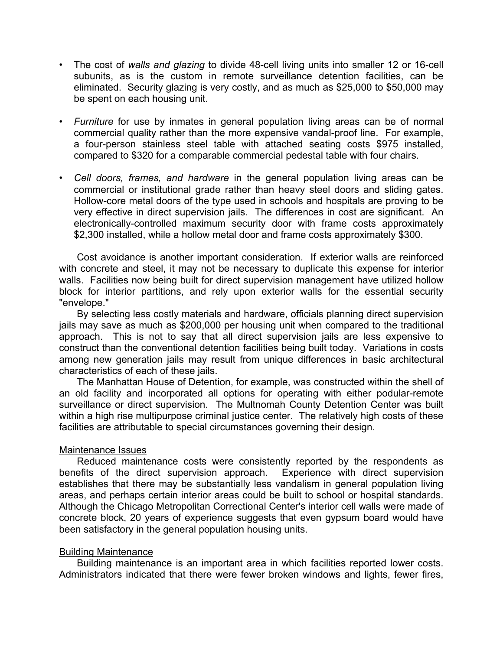- The cost of *walls and glazing* to divide 48-cell living units into smaller 12 or 16-cell subunits, as is the custom in remote surveillance detention facilities, can be eliminated. Security glazing is very costly, and as much as \$25,000 to \$50,000 may be spent on each housing unit.
- *Furniture* for use by inmates in general population living areas can be of normal commercial quality rather than the more expensive vandal-proof line. For example, a four-person stainless steel table with attached seating costs \$975 installed, compared to \$320 for a comparable commercial pedestal table with four chairs.
- *Cell doors, frames, and hardware* in the general population living areas can be commercial or institutional grade rather than heavy steel doors and sliding gates. Hollow-core metal doors of the type used in schools and hospitals are proving to be very effective in direct supervision jails. The differences in cost are significant. An electronically-controlled maximum security door with frame costs approximately \$2,300 installed, while a hollow metal door and frame costs approximately \$300.

Cost avoidance is another important consideration. If exterior walls are reinforced with concrete and steel, it may not be necessary to duplicate this expense for interior walls. Facilities now being built for direct supervision management have utilized hollow block for interior partitions, and rely upon exterior walls for the essential security "envelope."

By selecting less costly materials and hardware, officials planning direct supervision jails may save as much as \$200,000 per housing unit when compared to the traditional approach. This is not to say that all direct supervision jails are less expensive to construct than the conventional detention facilities being built today. Variations in costs among new generation jails may result from unique differences in basic architectural characteristics of each of these jails.

The Manhattan House of Detention, for example, was constructed within the shell of an old facility and incorporated all options for operating with either podular-remote surveillance or direct supervision. The Multnomah County Detention Center was built within a high rise multipurpose criminal justice center. The relatively high costs of these facilities are attributable to special circumstances governing their design.

## Maintenance Issues

Reduced maintenance costs were consistently reported by the respondents as benefits of the direct supervision approach. Experience with direct supervision establishes that there may be substantially less vandalism in general population living areas, and perhaps certain interior areas could be built to school or hospital standards. Although the Chicago Metropolitan Correctional Center's interior cell walls were made of concrete block, 20 years of experience suggests that even gypsum board would have been satisfactory in the general population housing units.

## Building Maintenance

Building maintenance is an important area in which facilities reported lower costs. Administrators indicated that there were fewer broken windows and lights, fewer fires,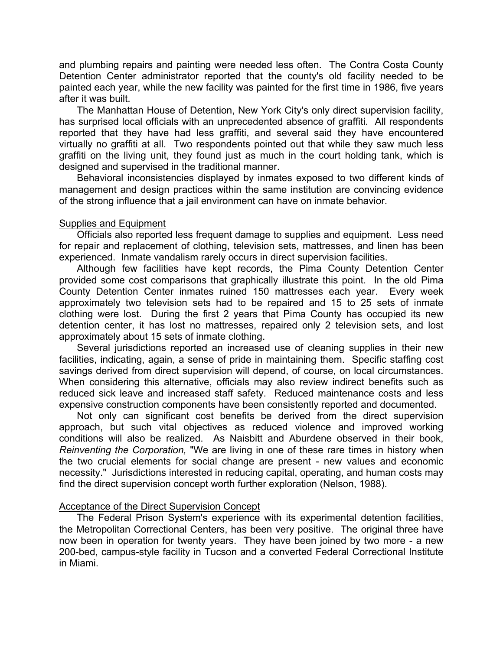and plumbing repairs and painting were needed less often. The Contra Costa County Detention Center administrator reported that the county's old facility needed to be painted each year, while the new facility was painted for the first time in 1986, five years after it was built.

The Manhattan House of Detention, New York City's only direct supervision facility, has surprised local officials with an unprecedented absence of graffiti. All respondents reported that they have had less graffiti, and several said they have encountered virtually no graffiti at all. Two respondents pointed out that while they saw much less graffiti on the living unit, they found just as much in the court holding tank, which is designed and supervised in the traditional manner.

Behavioral inconsistencies displayed by inmates exposed to two different kinds of management and design practices within the same institution are convincing evidence of the strong influence that a jail environment can have on inmate behavior.

## Supplies and Equipment

Officials also reported less frequent damage to supplies and equipment. Less need for repair and replacement of clothing, television sets, mattresses, and linen has been experienced. Inmate vandalism rarely occurs in direct supervision facilities.

Although few facilities have kept records, the Pima County Detention Center provided some cost comparisons that graphically illustrate this point. In the old Pima County Detention Center inmates ruined 150 mattresses each year. Every week approximately two television sets had to be repaired and 15 to 25 sets of inmate clothing were lost. During the first 2 years that Pima County has occupied its new detention center, it has lost no mattresses, repaired only 2 television sets, and lost approximately about 15 sets of inmate clothing.

Several jurisdictions reported an increased use of cleaning supplies in their new facilities, indicating, again, a sense of pride in maintaining them. Specific staffing cost savings derived from direct supervision will depend, of course, on local circumstances. When considering this alternative, officials may also review indirect benefits such as reduced sick leave and increased staff safety. Reduced maintenance costs and less expensive construction components have been consistently reported and documented.

Not only can significant cost benefits be derived from the direct supervision approach, but such vital objectives as reduced violence and improved working conditions will also be realized. As Naisbitt and Aburdene observed in their book, *Reinventing the Corporation,* "We are living in one of these rare times in history when the two crucial elements for social change are present - new values and economic necessity." Jurisdictions interested in reducing capital, operating, and human costs may find the direct supervision concept worth further exploration (Nelson, 1988).

## Acceptance of the Direct Supervision Concept

The Federal Prison System's experience with its experimental detention facilities, the Metropolitan Correctional Centers, has been very positive. The original three have now been in operation for twenty years. They have been joined by two more - a new 200-bed, campus-style facility in Tucson and a converted Federal Correctional Institute in Miami.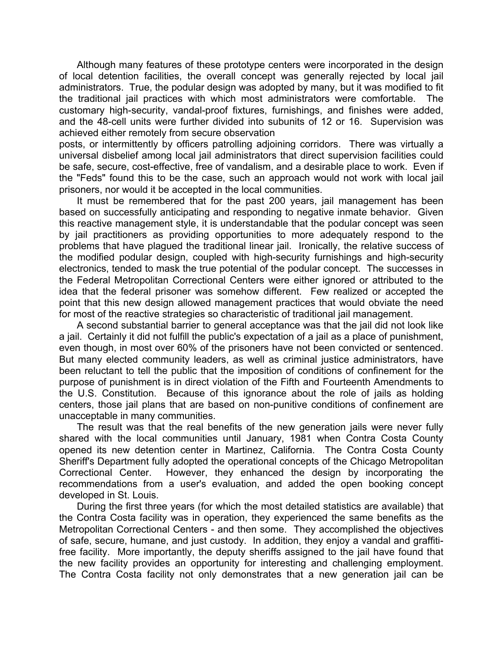Although many features of these prototype centers were incorporated in the design of local detention facilities, the overall concept was generally rejected by local jail administrators. True, the podular design was adopted by many, but it was modified to fit the traditional jail practices with which most administrators were comfortable. The customary high-security, vandal-proof fixtures, furnishings, and finishes were added, and the 48-cell units were further divided into subunits of 12 or 16. Supervision was achieved either remotely from secure observation

posts, or intermittently by officers patrolling adjoining corridors. There was virtually a universal disbelief among local jail administrators that direct supervision facilities could be safe, secure, cost-effective, free of vandalism, and a desirable place to work. Even if the "Feds" found this to be the case, such an approach would not work with local jail prisoners, nor would it be accepted in the local communities.

It must be remembered that for the past 200 years, jail management has been based on successfully anticipating and responding to negative inmate behavior. Given this reactive management style, it is understandable that the podular concept was seen by jail practitioners as providing opportunities to more adequately respond to the problems that have plagued the traditional linear jail. Ironically, the relative success of the modified podular design, coupled with high-security furnishings and high-security electronics, tended to mask the true potential of the podular concept. The successes in the Federal Metropolitan Correctional Centers were either ignored or attributed to the idea that the federal prisoner was somehow different. Few realized or accepted the point that this new design allowed management practices that would obviate the need for most of the reactive strategies so characteristic of traditional jail management.

A second substantial barrier to general acceptance was that the jail did not look like a jail. Certainly it did not fulfill the public's expectation of a jail as a place of punishment, even though, in most over 60% of the prisoners have not been convicted or sentenced. But many elected community leaders, as well as criminal justice administrators, have been reluctant to tell the public that the imposition of conditions of confinement for the purpose of punishment is in direct violation of the Fifth and Fourteenth Amendments to the U.S. Constitution. Because of this ignorance about the role of jails as holding centers, those jail plans that are based on non-punitive conditions of confinement are unacceptable in many communities.

The result was that the real benefits of the new generation jails were never fully shared with the local communities until January, 1981 when Contra Costa County opened its new detention center in Martinez, California. The Contra Costa County Sheriff's Department fully adopted the operational concepts of the Chicago Metropolitan Correctional Center. However, they enhanced the design by incorporating the recommendations from a user's evaluation, and added the open booking concept developed in St. Louis.

During the first three years (for which the most detailed statistics are available) that the Contra Costa facility was in operation, they experienced the same benefits as the Metropolitan Correctional Centers - and then some. They accomplished the objectives of safe, secure, humane, and just custody. In addition, they enjoy a vandal and graffitifree facility. More importantly, the deputy sheriffs assigned to the jail have found that the new facility provides an opportunity for interesting and challenging employment. The Contra Costa facility not only demonstrates that a new generation jail can be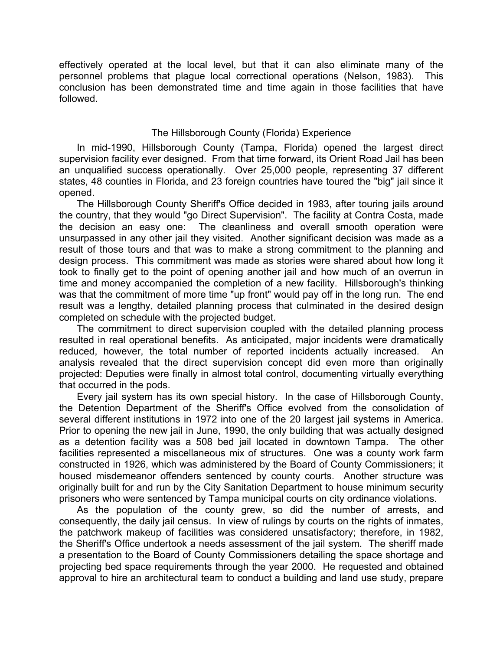effectively operated at the local level, but that it can also eliminate many of the personnel problems that plague local correctional operations (Nelson, 1983). This conclusion has been demonstrated time and time again in those facilities that have followed.

## The Hillsborough County (Florida) Experience

In mid-1990, Hillsborough County (Tampa, Florida) opened the largest direct supervision facility ever designed. From that time forward, its Orient Road Jail has been an unqualified success operationally. Over 25,000 people, representing 37 different states, 48 counties in Florida, and 23 foreign countries have toured the "big" jail since it opened.

The Hillsborough County Sheriff's Office decided in 1983, after touring jails around the country, that they would "go Direct Supervision". The facility at Contra Costa, made the decision an easy one: The cleanliness and overall smooth operation were unsurpassed in any other jail they visited. Another significant decision was made as a result of those tours and that was to make a strong commitment to the planning and design process. This commitment was made as stories were shared about how long it took to finally get to the point of opening another jail and how much of an overrun in time and money accompanied the completion of a new facility. Hillsborough's thinking was that the commitment of more time "up front" would pay off in the long run. The end result was a lengthy, detailed planning process that culminated in the desired design completed on schedule with the projected budget.

The commitment to direct supervision coupled with the detailed planning process resulted in real operational benefits. As anticipated, major incidents were dramatically reduced, however, the total number of reported incidents actually increased. An analysis revealed that the direct supervision concept did even more than originally projected: Deputies were finally in almost total control, documenting virtually everything that occurred in the pods.

Every jail system has its own special history. In the case of Hillsborough County, the Detention Department of the Sheriff's Office evolved from the consolidation of several different institutions in 1972 into one of the 20 largest jail systems in America. Prior to opening the new jail in June, 1990, the only building that was actually designed as a detention facility was a 508 bed jail located in downtown Tampa. The other facilities represented a miscellaneous mix of structures. One was a county work farm constructed in 1926, which was administered by the Board of County Commissioners; it housed misdemeanor offenders sentenced by county courts. Another structure was originally built for and run by the City Sanitation Department to house minimum security prisoners who were sentenced by Tampa municipal courts on city ordinance violations.

As the population of the county grew, so did the number of arrests, and consequently, the daily jail census. In view of rulings by courts on the rights of inmates, the patchwork makeup of facilities was considered unsatisfactory; therefore, in 1982, the Sheriff's Office undertook a needs assessment of the jail system. The sheriff made a presentation to the Board of County Commissioners detailing the space shortage and projecting bed space requirements through the year 2000. He requested and obtained approval to hire an architectural team to conduct a building and land use study, prepare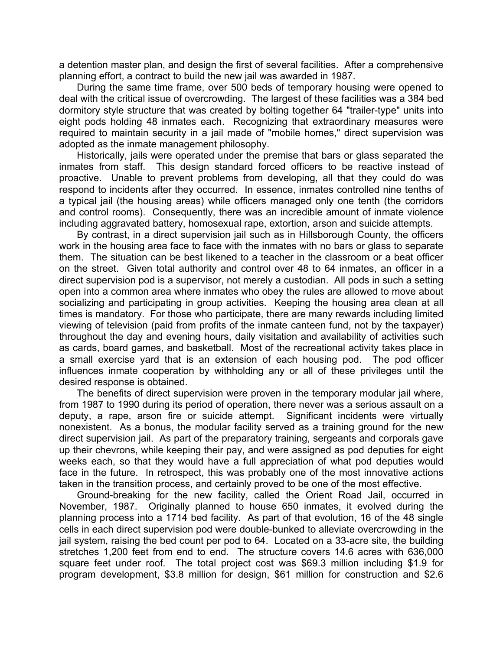a detention master plan, and design the first of several facilities. After a comprehensive planning effort, a contract to build the new jail was awarded in 1987.

During the same time frame, over 500 beds of temporary housing were opened to deal with the critical issue of overcrowding. The largest of these facilities was a 384 bed dormitory style structure that was created by bolting together 64 "trailer-type" units into eight pods holding 48 inmates each. Recognizing that extraordinary measures were required to maintain security in a jail made of "mobile homes," direct supervision was adopted as the inmate management philosophy.

Historically, jails were operated under the premise that bars or glass separated the inmates from staff. This design standard forced officers to be reactive instead of proactive. Unable to prevent problems from developing, all that they could do was respond to incidents after they occurred. In essence, inmates controlled nine tenths of a typical jail (the housing areas) while officers managed only one tenth (the corridors and control rooms). Consequently, there was an incredible amount of inmate violence including aggravated battery, homosexual rape, extortion, arson and suicide attempts.

By contrast, in a direct supervision jail such as in Hillsborough County, the officers work in the housing area face to face with the inmates with no bars or glass to separate them. The situation can be best likened to a teacher in the classroom or a beat officer on the street. Given total authority and control over 48 to 64 inmates, an officer in a direct supervision pod is a supervisor, not merely a custodian. All pods in such a setting open into a common area where inmates who obey the rules are allowed to move about socializing and participating in group activities. Keeping the housing area clean at all times is mandatory. For those who participate, there are many rewards including limited viewing of television (paid from profits of the inmate canteen fund, not by the taxpayer) throughout the day and evening hours, daily visitation and availability of activities such as cards, board games, and basketball. Most of the recreational activity takes place in a small exercise yard that is an extension of each housing pod. The pod officer influences inmate cooperation by withholding any or all of these privileges until the desired response is obtained.

The benefits of direct supervision were proven in the temporary modular jail where, from 1987 to 1990 during its period of operation, there never was a serious assault on a deputy, a rape, arson fire or suicide attempt. Significant incidents were virtually nonexistent. As a bonus, the modular facility served as a training ground for the new direct supervision jail. As part of the preparatory training, sergeants and corporals gave up their chevrons, while keeping their pay, and were assigned as pod deputies for eight weeks each, so that they would have a full appreciation of what pod deputies would face in the future. In retrospect, this was probably one of the most innovative actions taken in the transition process, and certainly proved to be one of the most effective.

Ground-breaking for the new facility, called the Orient Road Jail, occurred in November, 1987. Originally planned to house 650 inmates, it evolved during the planning process into a 1714 bed facility. As part of that evolution, 16 of the 48 single cells in each direct supervision pod were double-bunked to alleviate overcrowding in the jail system, raising the bed count per pod to 64. Located on a 33-acre site, the building stretches 1,200 feet from end to end. The structure covers 14.6 acres with 636,000 square feet under roof. The total project cost was \$69.3 million including \$1.9 for program development, \$3.8 million for design, \$61 million for construction and \$2.6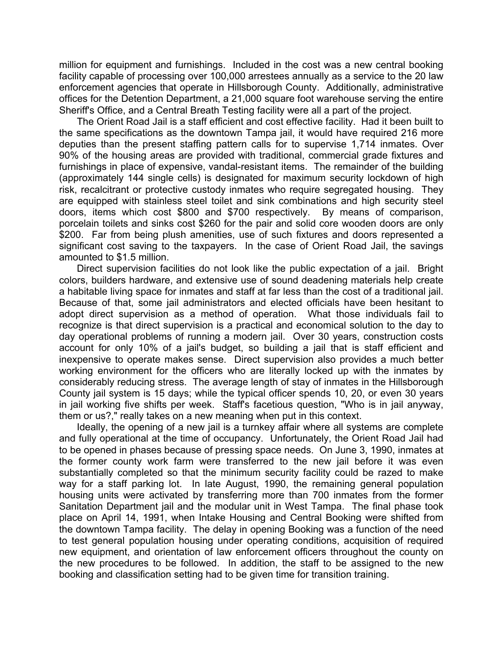million for equipment and furnishings. Included in the cost was a new central booking facility capable of processing over 100,000 arrestees annually as a service to the 20 law enforcement agencies that operate in Hillsborough County. Additionally, administrative offices for the Detention Department, a 21,000 square foot warehouse serving the entire Sheriff's Office, and a Central Breath Testing facility were all a part of the project.

The Orient Road Jail is a staff efficient and cost effective facility. Had it been built to the same specifications as the downtown Tampa jail, it would have required 216 more deputies than the present staffing pattern calls for to supervise 1,714 inmates. Over 90% of the housing areas are provided with traditional, commercial grade fixtures and furnishings in place of expensive, vandal-resistant items. The remainder of the building (approximately 144 single cells) is designated for maximum security lockdown of high risk, recalcitrant or protective custody inmates who require segregated housing. They are equipped with stainless steel toilet and sink combinations and high security steel doors, items which cost \$800 and \$700 respectively. By means of comparison, porcelain toilets and sinks cost \$260 for the pair and solid core wooden doors are only \$200. Far from being plush amenities, use of such fixtures and doors represented a significant cost saving to the taxpayers. In the case of Orient Road Jail, the savings amounted to \$1.5 million.

Direct supervision facilities do not look like the public expectation of a jail. Bright colors, builders hardware, and extensive use of sound deadening materials help create a habitable living space for inmates and staff at far less than the cost of a traditional jail. Because of that, some jail administrators and elected officials have been hesitant to adopt direct supervision as a method of operation. What those individuals fail to recognize is that direct supervision is a practical and economical solution to the day to day operational problems of running a modern jail. Over 30 years, construction costs account for only 10% of a jail's budget, so building a jail that is staff efficient and inexpensive to operate makes sense. Direct supervision also provides a much better working environment for the officers who are literally locked up with the inmates by considerably reducing stress. The average length of stay of inmates in the Hillsborough County jail system is 15 days; while the typical officer spends 10, 20, or even 30 years in jail working five shifts per week. Staff's facetious question, "Who is in jail anyway, them or us?," really takes on a new meaning when put in this context.

Ideally, the opening of a new jail is a turnkey affair where all systems are complete and fully operational at the time of occupancy. Unfortunately, the Orient Road Jail had to be opened in phases because of pressing space needs. On June 3, 1990, inmates at the former county work farm were transferred to the new jail before it was even substantially completed so that the minimum security facility could be razed to make way for a staff parking lot. In late August, 1990, the remaining general population housing units were activated by transferring more than 700 inmates from the former Sanitation Department jail and the modular unit in West Tampa. The final phase took place on April 14, 1991, when Intake Housing and Central Booking were shifted from the downtown Tampa facility. The delay in opening Booking was a function of the need to test general population housing under operating conditions, acquisition of required new equipment, and orientation of law enforcement officers throughout the county on the new procedures to be followed. In addition, the staff to be assigned to the new booking and classification setting had to be given time for transition training.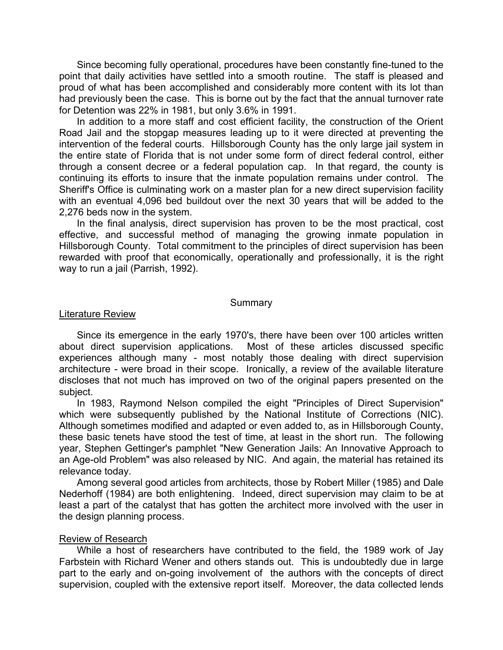Since becoming fully operational, procedures have been constantly fine-tuned to the point that daily activities have settled into a smooth routine. The staff is pleased and proud of what has been accomplished and considerably more content with its lot than had previously been the case. This is borne out by the fact that the annual turnover rate for Detention was 22% in 1981, but only 3.6% in 1991.

In addition to a more staff and cost efficient facility, the construction of the Orient Road Jail and the stopgap measures leading up to it were directed at preventing the intervention of the federal courts. Hillsborough County has the only large jail system in the entire state of Florida that is not under some form of direct federal control, either through a consent decree or a federal population cap. In that regard, the county is continuing its efforts to insure that the inmate population remains under control. The Sheriff's Office is culminating work on a master plan for a new direct supervision facility with an eventual 4,096 bed buildout over the next 30 years that will be added to the 2,276 beds now in the system.

In the final analysis, direct supervision has proven to be the most practical, cost effective, and successful method of managing the growing inmate population in Hillsborough County. Total commitment to the principles of direct supervision has been rewarded with proof that economically, operationally and professionally, it is the right way to run a jail (Parrish, 1992).

#### **Summary**

#### **Literature Review**

Since its emergence in the early 1970's, there have been over 100 articles written about direct supervision applications. Most of these articles discussed specific experiences although many - most notably those dealing with direct supervision architecture - were broad in their scope. Ironically, a review of the available literature discloses that not much has improved on two of the original papers presented on the subject.

In 1983, Raymond Nelson compiled the eight "Principles of Direct Supervision" which were subsequently published by the National Institute of Corrections (NIC). Although sometimes modified and adapted or even added to, as in Hillsborough County, these basic tenets have stood the test of time, at least in the short run. The following year, Stephen Gettinger's pamphlet "New Generation Jails: An Innovative Approach to an Age-old Problem" was also released by NIC. And again, the material has retained its relevance today.

Among several good articles from architects, those by Robert Miller (1985) and Dale Nederhoff (1984) are both enlightening. Indeed, direct supervision may claim to be at least a part of the catalyst that has gotten the architect more involved with the user in the design planning process.

#### Review of Research

While a host of researchers have contributed to the field, the 1989 work of Jay Farbstein with Richard Wener and others stands out. This is undoubtedly due in large part to the early and on-going involvement of the authors with the concepts of direct supervision, coupled with the extensive report itself. Moreover, the data collected lends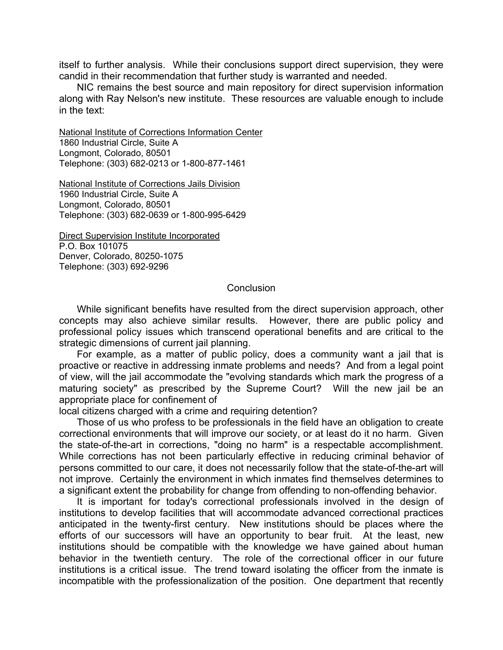itself to further analysis. While their conclusions support direct supervision, they were candid in their recommendation that further study is warranted and needed.

NIC remains the best source and main repository for direct supervision information along with Ray Nelson's new institute. These resources are valuable enough to include in the text:

National Institute of Corrections Information Center 1860 Industrial Circle, Suite A Longmont, Colorado, 80501 Telephone: (303) 682-0213 or 1-800-877-1461

National Institute of Corrections Jails Division 1960 Industrial Circle, Suite A Longmont, Colorado, 80501 Telephone: (303) 682-0639 or 1-800-995-6429

Direct Supervision Institute Incorporated P.O. Box 101075 Denver, Colorado, 80250-1075 Telephone: (303) 692-9296

#### **Conclusion**

While significant benefits have resulted from the direct supervision approach, other concepts may also achieve similar results. However, there are public policy and professional policy issues which transcend operational benefits and are critical to the strategic dimensions of current jail planning.

For example, as a matter of public policy, does a community want a jail that is proactive or reactive in addressing inmate problems and needs? And from a legal point of view, will the jail accommodate the "evolving standards which mark the progress of a maturing society" as prescribed by the Supreme Court? Will the new jail be an appropriate place for confinement of

local citizens charged with a crime and requiring detention?

Those of us who profess to be professionals in the field have an obligation to create correctional environments that will improve our society, or at least do it no harm. Given the state-of-the-art in corrections, "doing no harm" is a respectable accomplishment. While corrections has not been particularly effective in reducing criminal behavior of persons committed to our care, it does not necessarily follow that the state-of-the-art will not improve. Certainly the environment in which inmates find themselves determines to a significant extent the probability for change from offending to non-offending behavior.

It is important for today's correctional professionals involved in the design of institutions to develop facilities that will accommodate advanced correctional practices anticipated in the twenty-first century. New institutions should be places where the efforts of our successors will have an opportunity to bear fruit. At the least, new institutions should be compatible with the knowledge we have gained about human behavior in the twentieth century. The role of the correctional officer in our future institutions is a critical issue. The trend toward isolating the officer from the inmate is incompatible with the professionalization of the position. One department that recently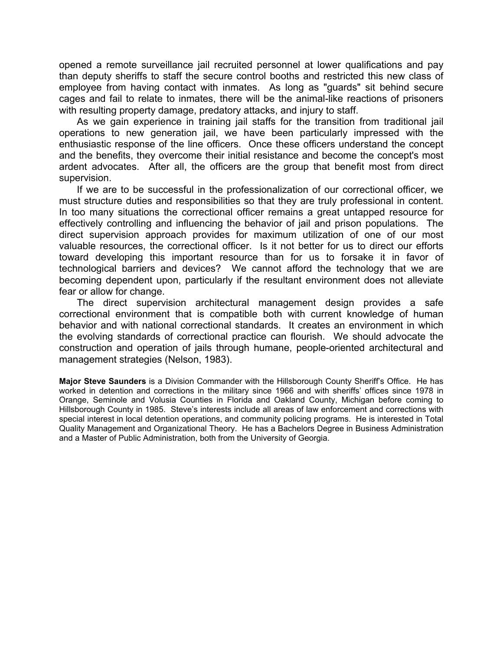opened a remote surveillance jail recruited personnel at lower qualifications and pay than deputy sheriffs to staff the secure control booths and restricted this new class of employee from having contact with inmates. As long as "guards" sit behind secure cages and fail to relate to inmates, there will be the animal-like reactions of prisoners with resulting property damage, predatory attacks, and injury to staff.

As we gain experience in training jail staffs for the transition from traditional jail operations to new generation jail, we have been particularly impressed with the enthusiastic response of the line officers. Once these officers understand the concept and the benefits, they overcome their initial resistance and become the concept's most ardent advocates. After all, the officers are the group that benefit most from direct supervision.

If we are to be successful in the professionalization of our correctional officer, we must structure duties and responsibilities so that they are truly professional in content. In too many situations the correctional officer remains a great untapped resource for effectively controlling and influencing the behavior of jail and prison populations. The direct supervision approach provides for maximum utilization of one of our most valuable resources, the correctional officer. Is it not better for us to direct our efforts toward developing this important resource than for us to forsake it in favor of technological barriers and devices? We cannot afford the technology that we are becoming dependent upon, particularly if the resultant environment does not alleviate fear or allow for change.

The direct supervision architectural management design provides a safe correctional environment that is compatible both with current knowledge of human behavior and with national correctional standards. It creates an environment in which the evolving standards of correctional practice can flourish. We should advocate the construction and operation of jails through humane, people-oriented architectural and management strategies (Nelson, 1983).

**Major Steve Saunders** is a Division Commander with the Hillsborough County Sheriff's Office. He has worked in detention and corrections in the military since 1966 and with sheriffs' offices since 1978 in Orange, Seminole and Volusia Counties in Florida and Oakland County, Michigan before coming to Hillsborough County in 1985. Steve's interests include all areas of law enforcement and corrections with special interest in local detention operations, and community policing programs. He is interested in Total Quality Management and Organizational Theory. He has a Bachelors Degree in Business Administration and a Master of Public Administration, both from the University of Georgia.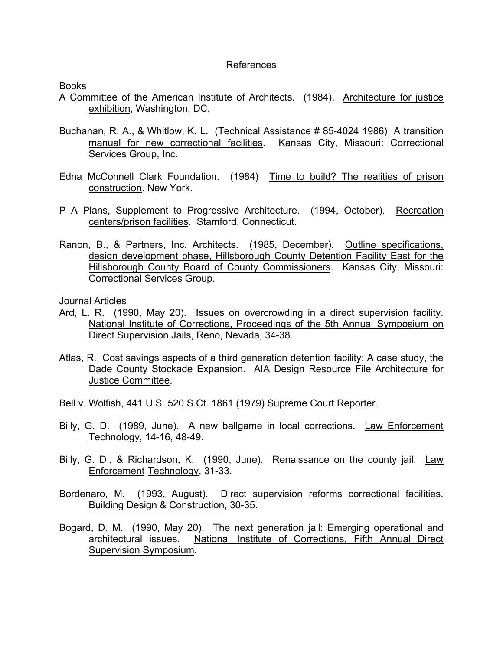## References

Books

- A Committee of the American Institute of Architects. (1984). Architecture for justice exhibition, Washington, DC.
- Buchanan, R. A., & Whitlow, K. L. (Technical Assistance # 85-4024 1986) A transition manual for new correctional facilities. Kansas City, Missouri: Correctional Services Group, Inc.
- Edna McConnell Clark Foundation. (1984) Time to build? The realities of prison construction. New York.
- P A Plans, Supplement to Progressive Architecture. (1994, October). Recreation centers/prison facilities. Stamford, Connecticut.
- Ranon, B., & Partners, Inc. Architects. (1985, December). Outline specifications, design development phase, Hillsborough County Detention Facility East for the Hillsborough County Board of County Commissioners. Kansas City, Missouri: Correctional Services Group.

Journal Articles

- Ard, L. R. (1990, May 20). Issues on overcrowding in a direct supervision facility. National Institute of Corrections, Proceedings of the 5th Annual Symposium on Direct Supervision Jails, Reno, Nevada, 34-38.
- Atlas, R. Cost savings aspects of a third generation detention facility: A case study, the Dade County Stockade Expansion. AIA Design Resource File Architecture for Justice Committee.
- Bell v. Wolfish, 441 U.S. 520 S.Ct. 1861 (1979) Supreme Court Reporter.
- Billy, G. D. (1989, June). A new ballgame in local corrections. Law Enforcement Technology, 14-16, 48-49.
- Billy, G. D., & Richardson, K. (1990, June). Renaissance on the county jail. Law Enforcement Technology, 31-33.
- Bordenaro, M. (1993, August). Direct supervision reforms correctional facilities. Building Design & Construction, 30-35.
- Bogard, D. M. (1990, May 20). The next generation jail: Emerging operational and architectural issues. National Institute of Corrections, Fifth Annual Direct Supervision Symposium.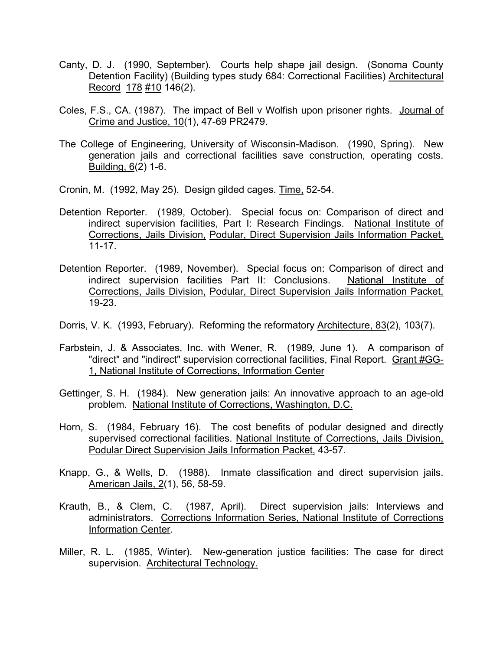- Canty, D. J. (1990, September). Courts help shape jail design. (Sonoma County Detention Facility) (Building types study 684: Correctional Facilities) Architectural Record 178 #10 146(2).
- Coles, F.S., CA. (1987). The impact of Bell v Wolfish upon prisoner rights. Journal of Crime and Justice, 10(1), 47-69 PR2479.
- The College of Engineering, University of Wisconsin-Madison. (1990, Spring). New generation jails and correctional facilities save construction, operating costs. Building, 6(2) 1-6.
- Cronin, M. (1992, May 25). Design gilded cages. Time, 52-54.
- Detention Reporter. (1989, October). Special focus on: Comparison of direct and indirect supervision facilities, Part I: Research Findings. National Institute of Corrections, Jails Division, Podular, Direct Supervision Jails Information Packet, 11-17.
- Detention Reporter. (1989, November). Special focus on: Comparison of direct and indirect supervision facilities Part II: Conclusions. National Institute of Corrections, Jails Division, Podular, Direct Supervision Jails Information Packet, 19-23.
- Dorris, V. K. (1993, February). Reforming the reformatory Architecture, 83(2), 103(7).
- Farbstein, J. & Associates, Inc. with Wener, R. (1989, June 1). A comparison of "direct" and "indirect" supervision correctional facilities, Final Report. Grant #GG-1, National Institute of Corrections, Information Center
- Gettinger, S. H. (1984). New generation jails: An innovative approach to an age-old problem. National Institute of Corrections, Washington, D.C.
- Horn, S. (1984, February 16). The cost benefits of podular designed and directly supervised correctional facilities. National Institute of Corrections, Jails Division, Podular Direct Supervision Jails Information Packet, 43-57.
- Knapp, G., & Wells, D. (1988). Inmate classification and direct supervision jails. American Jails, 2(1), 56, 58-59.
- Krauth, B., & Clem, C. (1987, April). Direct supervision jails: Interviews and administrators. Corrections Information Series, National Institute of Corrections Information Center.
- Miller, R. L. (1985, Winter). New-generation justice facilities: The case for direct supervision. Architectural Technology.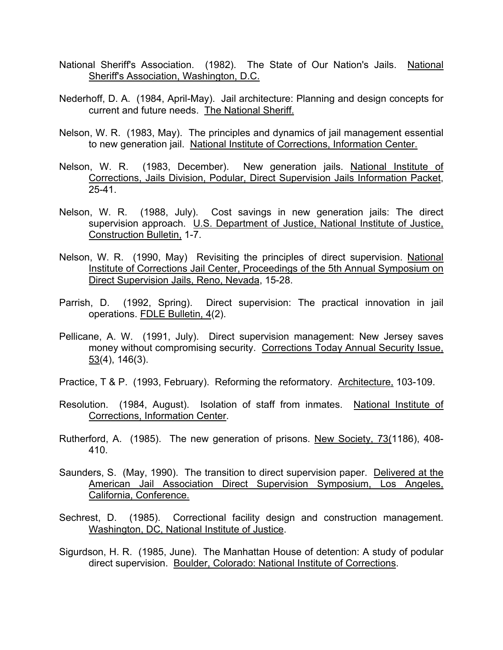- National Sheriff's Association. (1982). The State of Our Nation's Jails. National Sheriff's Association, Washington, D.C.
- Nederhoff, D. A. (1984, April-May). Jail architecture: Planning and design concepts for current and future needs. The National Sheriff.
- Nelson, W. R. (1983, May). The principles and dynamics of jail management essential to new generation jail. National Institute of Corrections, Information Center.
- Nelson, W. R. (1983, December). New generation jails. National Institute of Corrections, Jails Division, Podular, Direct Supervision Jails Information Packet, 25-41.
- Nelson, W. R. (1988, July). Cost savings in new generation jails: The direct supervision approach. U.S. Department of Justice, National Institute of Justice, Construction Bulletin, 1-7.
- Nelson, W. R. (1990, May) Revisiting the principles of direct supervision. National Institute of Corrections Jail Center, Proceedings of the 5th Annual Symposium on Direct Supervision Jails, Reno, Nevada, 15-28.
- Parrish, D. (1992, Spring). Direct supervision: The practical innovation in jail operations. FDLE Bulletin, 4(2).
- Pellicane, A. W. (1991, July). Direct supervision management: New Jersey saves money without compromising security. Corrections Today Annual Security Issue, 53(4), 146(3).
- Practice, T & P. (1993, February). Reforming the reformatory. Architecture, 103-109.
- Resolution. (1984, August). Isolation of staff from inmates. National Institute of Corrections, Information Center.
- Rutherford, A. (1985). The new generation of prisons. New Society, 73(1186), 408- 410.
- Saunders, S. (May, 1990). The transition to direct supervision paper. Delivered at the American Jail Association Direct Supervision Symposium, Los Angeles, California, Conference.
- Sechrest, D. (1985). Correctional facility design and construction management. Washington, DC, National Institute of Justice.
- Sigurdson, H. R. (1985, June). The Manhattan House of detention: A study of podular direct supervision. Boulder, Colorado: National Institute of Corrections.